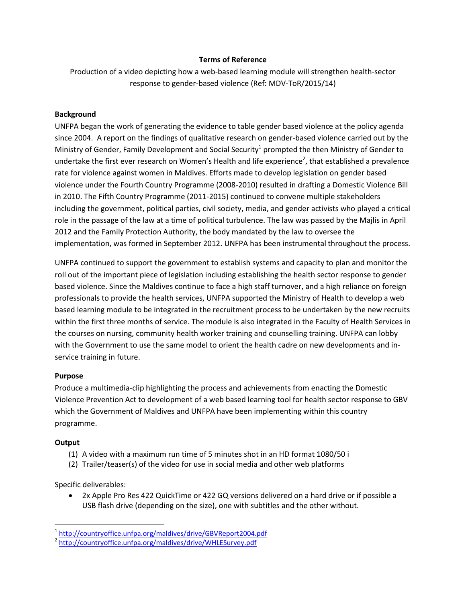## **Terms of Reference**

Production of a video depicting how a web-based learning module will strengthen health-sector response to gender-based violence (Ref: MDV-ToR/2015/14)

## **Background**

UNFPA began the work of generating the evidence to table gender based violence at the policy agenda since 2004. A report on the findings of qualitative research on gender-based violence carried out by the Ministry of Gender, Family Development and Social Security<sup>1</sup> prompted the then Ministry of Gender to undertake the first ever research on Women's Health and life experience<sup>2</sup>, that established a prevalence rate for violence against women in Maldives. Efforts made to develop legislation on gender based violence under the Fourth Country Programme (2008-2010) resulted in drafting a Domestic Violence Bill in 2010. The Fifth Country Programme (2011-2015) continued to convene multiple stakeholders including the government, political parties, civil society, media, and gender activists who played a critical role in the passage of the law at a time of political turbulence. The law was passed by the Majlis in April 2012 and the Family Protection Authority, the body mandated by the law to oversee the implementation, was formed in September 2012. UNFPA has been instrumental throughout the process.

UNFPA continued to support the government to establish systems and capacity to plan and monitor the roll out of the important piece of legislation including establishing the health sector response to gender based violence. Since the Maldives continue to face a high staff turnover, and a high reliance on foreign professionals to provide the health services, UNFPA supported the Ministry of Health to develop a web based learning module to be integrated in the recruitment process to be undertaken by the new recruits within the first three months of service. The module is also integrated in the Faculty of Health Services in the courses on nursing, community health worker training and counselling training. UNFPA can lobby with the Government to use the same model to orient the health cadre on new developments and inservice training in future.

# **Purpose**

Produce a multimedia-clip highlighting the process and achievements from enacting the Domestic Violence Prevention Act to development of a web based learning tool for health sector response to GBV which the Government of Maldives and UNFPA have been implementing within this country programme.

## **Output**

l

- (1) A video with a maximum run time of 5 minutes shot in an HD format 1080/50 i
- (2) Trailer/teaser(s) of the video for use in social media and other web platforms

Specific deliverables:

 2x Apple Pro Res 422 QuickTime or 422 GQ versions delivered on a hard drive or if possible a USB flash drive (depending on the size), one with subtitles and the other without.

<sup>&</sup>lt;sup>1</sup><http://countryoffice.unfpa.org/maldives/drive/GBVReport2004.pdf>

<sup>&</sup>lt;sup>2</sup> <http://countryoffice.unfpa.org/maldives/drive/WHLESurvey.pdf>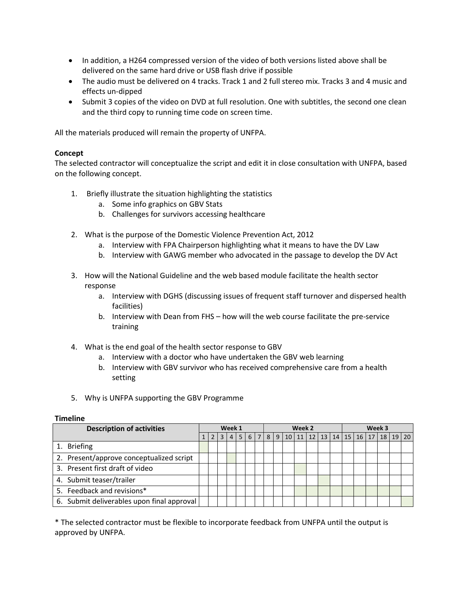- In addition, a H264 compressed version of the video of both versions listed above shall be delivered on the same hard drive or USB flash drive if possible
- The audio must be delivered on 4 tracks. Track 1 and 2 full stereo mix. Tracks 3 and 4 music and effects un-dipped
- Submit 3 copies of the video on DVD at full resolution. One with subtitles, the second one clean and the third copy to running time code on screen time.

All the materials produced will remain the property of UNFPA.

#### **Concept**

The selected contractor will conceptualize the script and edit it in close consultation with UNFPA, based on the following concept.

- 1. Briefly illustrate the situation highlighting the statistics
	- a. Some info graphics on GBV Stats
	- b. Challenges for survivors accessing healthcare
- 2. What is the purpose of the Domestic Violence Prevention Act, 2012
	- a. Interview with FPA Chairperson highlighting what it means to have the DV Law
	- b. Interview with GAWG member who advocated in the passage to develop the DV Act
- 3. How will the National Guideline and the web based module facilitate the health sector response
	- a. Interview with DGHS (discussing issues of frequent staff turnover and dispersed health facilities)
	- b. Interview with Dean from FHS how will the web course facilitate the pre-service training
- 4. What is the end goal of the health sector response to GBV
	- a. Interview with a doctor who have undertaken the GBV web learning
	- b. Interview with GBV survivor who has received comprehensive care from a health setting
- 5. Why is UNFPA supporting the GBV Programme

#### **Timeline**

| <b>Description of activities</b>           | Week 1 |                |                | Week 2 |  |  |  |                                                               | Week 3 |  |  |  |  |  |  |              |  |
|--------------------------------------------|--------|----------------|----------------|--------|--|--|--|---------------------------------------------------------------|--------|--|--|--|--|--|--|--------------|--|
|                                            |        | 2 <sub>1</sub> | 3 <sup>1</sup> |        |  |  |  | 4   5   6   7   8   9   10   11   12   13   14   15   16   17 |        |  |  |  |  |  |  | 18   19   20 |  |
| 1. Briefing                                |        |                |                |        |  |  |  |                                                               |        |  |  |  |  |  |  |              |  |
| 2. Present/approve conceptualized script   |        |                |                |        |  |  |  |                                                               |        |  |  |  |  |  |  |              |  |
| 3. Present first draft of video            |        |                |                |        |  |  |  |                                                               |        |  |  |  |  |  |  |              |  |
| 4. Submit teaser/trailer                   |        |                |                |        |  |  |  |                                                               |        |  |  |  |  |  |  |              |  |
| 5. Feedback and revisions*                 |        |                |                |        |  |  |  |                                                               |        |  |  |  |  |  |  |              |  |
| 6. Submit deliverables upon final approval |        |                |                |        |  |  |  |                                                               |        |  |  |  |  |  |  |              |  |

\* The selected contractor must be flexible to incorporate feedback from UNFPA until the output is approved by UNFPA.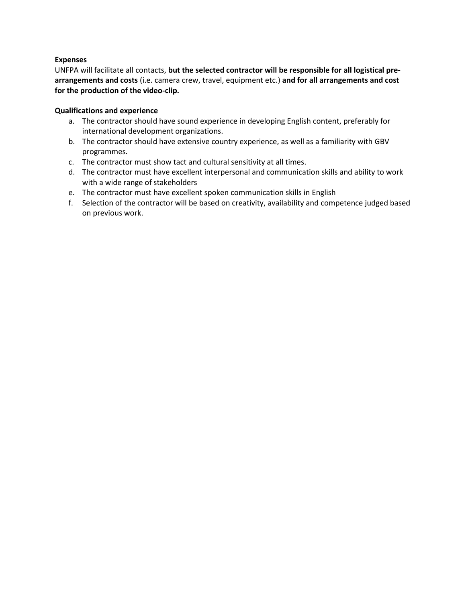## **Expenses**

UNFPA will facilitate all contacts, **but the selected contractor will be responsible for all logistical prearrangements and costs** (i.e. camera crew, travel, equipment etc.) **and for all arrangements and cost for the production of the video-clip.**

# **Qualifications and experience**

- a. The contractor should have sound experience in developing English content, preferably for international development organizations.
- b. The contractor should have extensive country experience, as well as a familiarity with GBV programmes.
- c. The contractor must show tact and cultural sensitivity at all times.
- d. The contractor must have excellent interpersonal and communication skills and ability to work with a wide range of stakeholders
- e. The contractor must have excellent spoken communication skills in English
- f. Selection of the contractor will be based on creativity, availability and competence judged based on previous work.